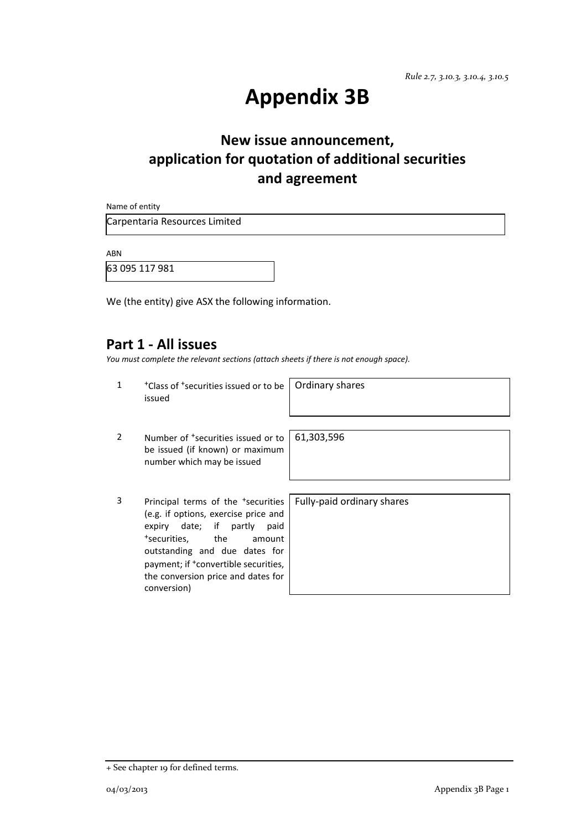# **Appendix 3B**

# **New issue announcement, application for quotation of additional securities and agreement**

Name of entity

Carpentaria Resources Limited

ABN

63 095 117 981

We (the entity) give ASX the following information.

#### **Part 1 - All issues**

*You must complete the relevant sections (attach sheets if there is not enough space).*

| 1             | <sup>+</sup> Class of <sup>+</sup> securities issued or to be<br>issued                                                                                                                                                                                                                                         | Ordinary shares            |
|---------------|-----------------------------------------------------------------------------------------------------------------------------------------------------------------------------------------------------------------------------------------------------------------------------------------------------------------|----------------------------|
| $\mathcal{P}$ | Number of <sup>+</sup> securities issued or to<br>be issued (if known) or maximum<br>number which may be issued                                                                                                                                                                                                 | 61,303,596                 |
| 3             | Principal terms of the <sup>+</sup> securities<br>(e.g. if options, exercise price and<br>expiry date; if partly<br>paid<br><sup>+</sup> securities.<br>the<br>amount<br>outstanding and due dates for<br>payment; if <sup>+</sup> convertible securities,<br>the conversion price and dates for<br>conversion) | Fully-paid ordinary shares |

+ See chapter 19 for defined terms.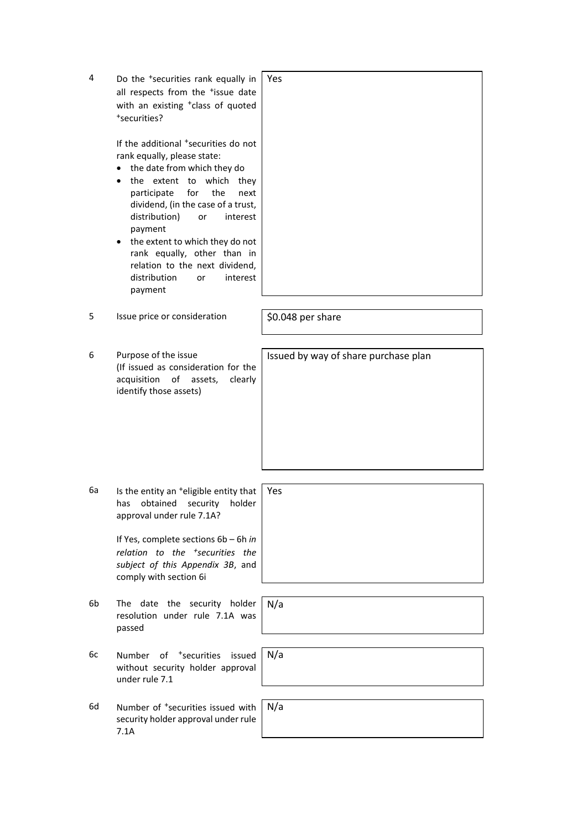| 4  | Do the <sup>+</sup> securities rank equally in<br>all respects from the <sup>+</sup> issue date<br>with an existing <sup>+</sup> class of quoted<br>*securities?                                                                                                                                                                                                                                                             | Yes                                  |
|----|------------------------------------------------------------------------------------------------------------------------------------------------------------------------------------------------------------------------------------------------------------------------------------------------------------------------------------------------------------------------------------------------------------------------------|--------------------------------------|
|    | If the additional <sup>+</sup> securities do not<br>rank equally, please state:<br>the date from which they do<br>the extent to which<br>they<br>for<br>the<br>participate<br>next<br>dividend, (in the case of a trust,<br>distribution)<br>interest<br>or<br>payment<br>the extent to which they do not<br>٠<br>rank equally, other than in<br>relation to the next dividend,<br>distribution<br>interest<br>or<br>payment |                                      |
| 5  | Issue price or consideration                                                                                                                                                                                                                                                                                                                                                                                                 | \$0.048 per share                    |
| 6  | Purpose of the issue<br>(If issued as consideration for the<br>acquisition<br>of assets,<br>clearly<br>identify those assets)                                                                                                                                                                                                                                                                                                | Issued by way of share purchase plan |
| 6а | Is the entity an <sup>+</sup> eligible entity that<br>obtained<br>security<br>holder<br>has<br>approval under rule 7.1A?<br>If Yes, complete sections 6b - 6h in<br>relation to the <sup>+</sup> securities the<br>subject of this Appendix 3B, and<br>comply with section 6i                                                                                                                                                | Yes                                  |
| 6b | The date the security holder<br>resolution under rule 7.1A was<br>passed                                                                                                                                                                                                                                                                                                                                                     | N/a                                  |
| 6c | <sup>+</sup> securities<br>issued<br>Number<br>οf<br>without security holder approval<br>under rule 7.1                                                                                                                                                                                                                                                                                                                      | N/a                                  |
| 6d | Number of <sup>+</sup> securities issued with<br>security holder approval under rule<br>7.1A                                                                                                                                                                                                                                                                                                                                 | N/a                                  |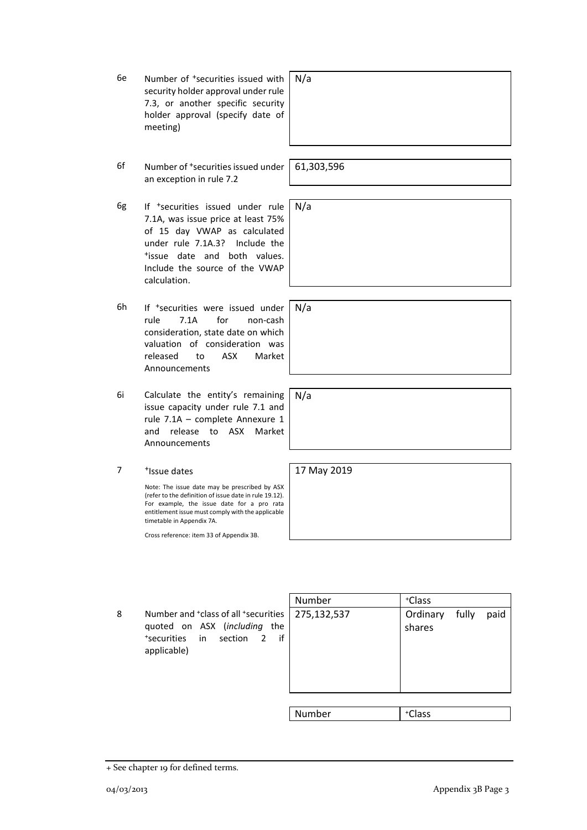+ See chapter 19 for defined terms.

6e Number of +securities issued with security holder approval under rule 7.3, or another specific security holder approval (specify date of meeting)

- 6f Number of +securities issued under an exception in rule 7.2
- 6g If +securities issued under rule 7.1A, was issue price at least 75% of 15 day VWAP as calculated under rule 7.1A.3? Include the <sup>+</sup>issue date and both values. Include the source of the VWAP calculation.
- 6h If +securities were issued under rule 7.1A for non-cash consideration, state date on which valuation of consideration was released to ASX Market Announcements
- 6i Calculate the entity's remaining issue capacity under rule 7.1 and rule 7.1A – complete Annexure 1 and release to ASX Market Announcements
- 7 +Issue dates

Note: The issue date may be prescribed by ASX (refer to the definition of issue date in rule 19.12). For example, the issue date for a pro rata entitlement issue must comply with the applicable timetable in Appendix 7A.

Cross reference: item 33 of Appendix 3B.

8 Number and <sup>+</sup>class of all <sup>+</sup> securities quoted on ASX (*including* the + securities in section 2 if applicable)

| Number      | +Class   |       |      |
|-------------|----------|-------|------|
| 275,132,537 | Ordinary | fully | paid |
|             | shares   |       |      |
|             |          |       |      |
|             |          |       |      |
|             |          |       |      |
|             |          |       |      |
| Numher      | $f$ ass  |       |      |

61,303,596

N/a

N/a

N/a

N/a

17 May 2019

Number +Class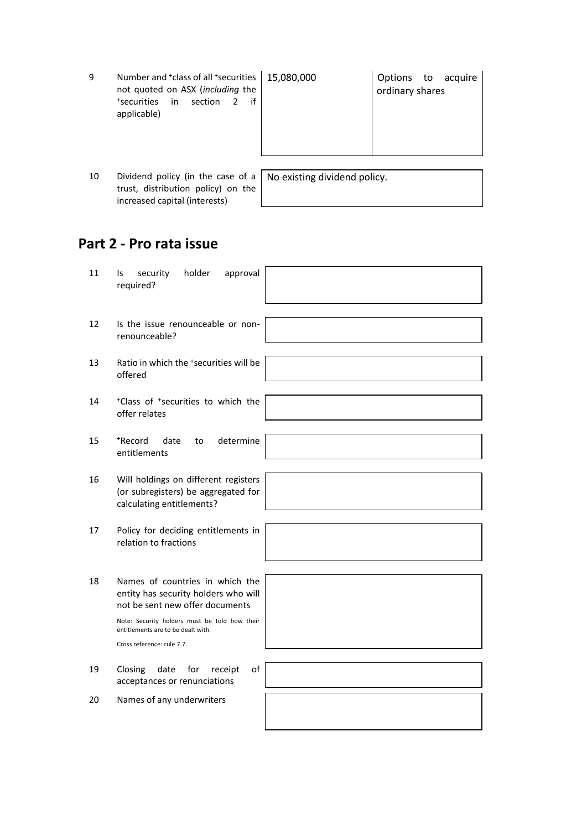| 9  | Number and <sup>+</sup> class of all <sup>+</sup> securities<br>not quoted on ASX (including the<br>*securities in<br>section<br>if<br>applicable) | 15,080,000 | Options to acquire<br>ordinary shares |
|----|----------------------------------------------------------------------------------------------------------------------------------------------------|------------|---------------------------------------|
|    |                                                                                                                                                    |            |                                       |
| 10 | Dividend policy (in the case of a $ $ No existing dividend policy.                                                                                 |            |                                       |

## **Part 2 - Pro rata issue**

trust, distribution policy) on the increased capital (interests)

| 11 | holder<br>security<br>approval<br>ls.<br>required?                                                                                                                                                                              |
|----|---------------------------------------------------------------------------------------------------------------------------------------------------------------------------------------------------------------------------------|
| 12 | Is the issue renounceable or non-<br>renounceable?                                                                                                                                                                              |
| 13 | Ratio in which the *securities will be<br>offered                                                                                                                                                                               |
| 14 | *Class of *securities to which the<br>offer relates                                                                                                                                                                             |
| 15 | determine<br>*Record<br>date<br>to<br>entitlements                                                                                                                                                                              |
| 16 | Will holdings on different registers<br>(or subregisters) be aggregated for<br>calculating entitlements?                                                                                                                        |
| 17 | Policy for deciding entitlements in<br>relation to fractions                                                                                                                                                                    |
| 18 | Names of countries in which the<br>entity has security holders who will<br>not be sent new offer documents<br>Note: Security holders must be told how their<br>entitlements are to be dealt with.<br>Cross reference: rule 7.7. |
| 19 | of<br>Closing<br>date<br>for<br>receipt<br>acceptances or renunciations                                                                                                                                                         |
| 20 | Names of any underwriters                                                                                                                                                                                                       |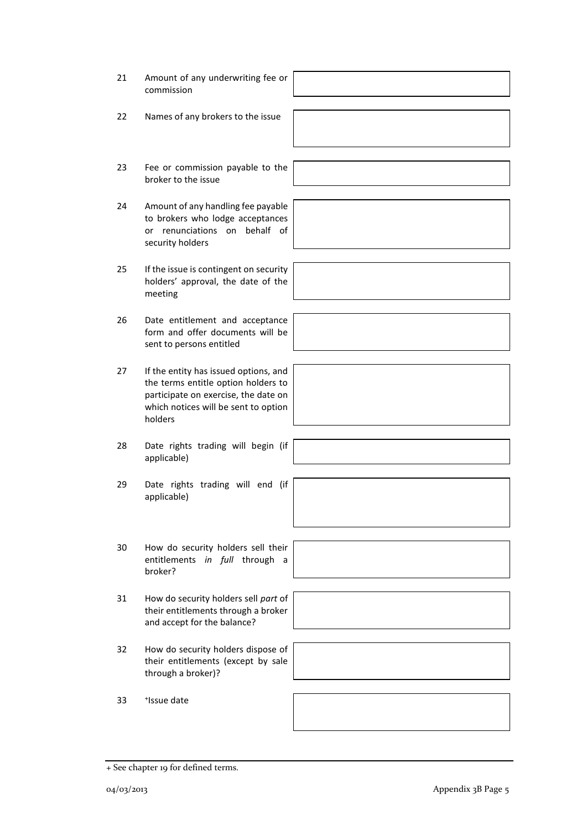- 22 Names of any brokers to the issue
- 23 Fee or commission payable to the broker to the issue
- 24 Amount of any handling fee payable to brokers who lodge acceptances or renunciations on behalf of security holders
- 25 If the issue is contingent on security holders' approval, the date of the meeting
- 26 Date entitlement and acceptance form and offer documents will be sent to persons entitled
- 27 If the entity has issued options, and the terms entitle option holders to participate on exercise, the date on which notices will be sent to option holders
- 28 Date rights trading will begin (if applicable)
- 29 Date rights trading will end (if applicable)
- 30 How do security holders sell their entitlements *in full* through a broker?
- 31 How do security holders sell *part* of their entitlements through a broker and accept for the balance?
- 32 How do security holders dispose of their entitlements (except by sale through a broker)?

33 <sup>+</sup> <sup>+</sup>Issue date

+ See chapter 19 for defined terms.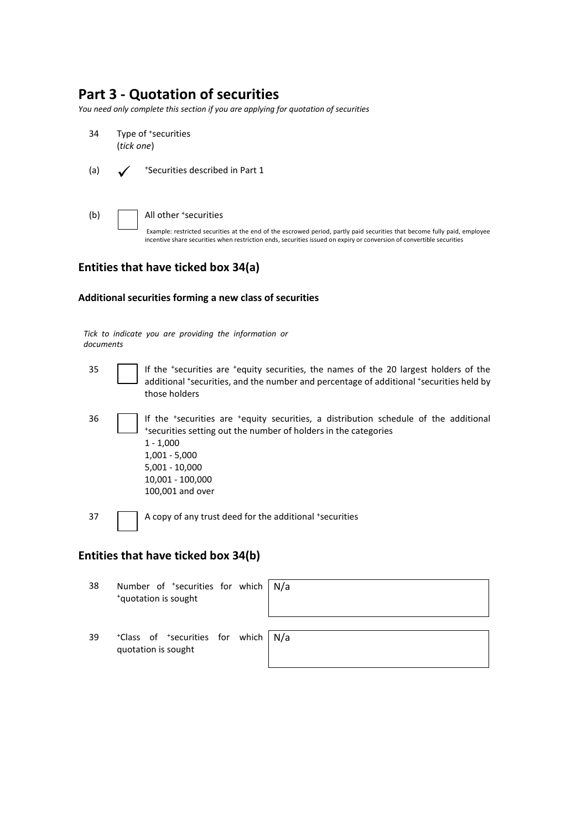### **Part 3 - Quotation of securities**

*You need only complete this section if you are applying for quotation of securities*

- 34 Type of +securities (*tick one*)
- $(a)$ <sup>+</sup>Securities described in Part 1
- (b) All other <sup>+</sup> securities Example: restricted securities at the end of the escrowed period, partly paid securities that become fully paid, employee incentive share securities when restriction ends, securities issued on expiry or conversion of convertible securities

#### **Entities that have ticked box 34(a)**

#### **Additional securities forming a new class of securities**

*Tick to indicate you are providing the information or documents*

- 35 | | If the 'securities are 'equity securities, the names of the 20 largest holders of the additional \*securities, and the number and percentage of additional \*securities held by those holders
- 36 | | If the 'securities are 'equity securities, a distribution schedule of the additional + securities setting out the number of holders in the categories 1 - 1,000 1,001 - 5,000 5,001 - 10,000 10,001 - 100,000 100,001 and over

37 A copy of any trust deed for the additional \*securities

#### **Entities that have ticked box 34(b)**

| 38 | Number of $\pm$ securities for which $\sqrt{N/a}$<br>*quotation is sought |  |
|----|---------------------------------------------------------------------------|--|
| 39 | *Class of *securities for which   N/a<br>quotation is sought              |  |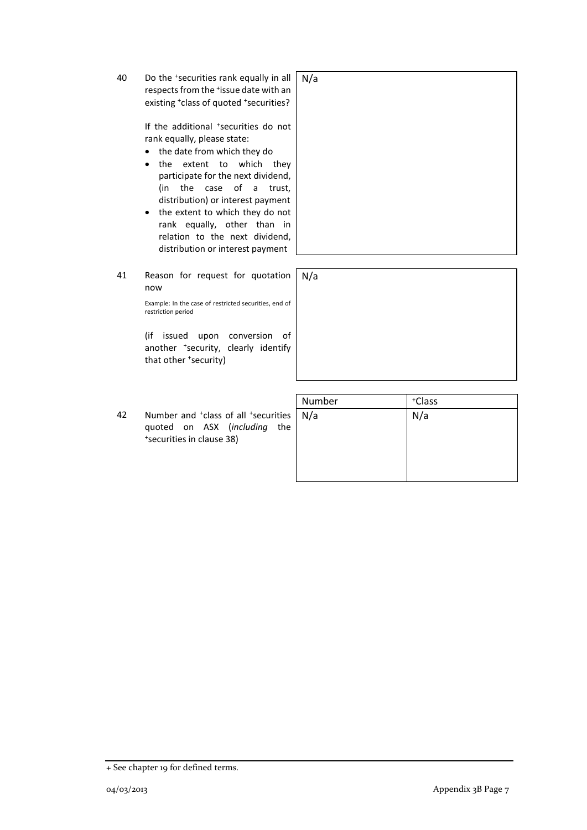40 Do the <sup>+</sup> securities rank equally in all respects from the \*issue date with an existing <sup>+</sup>class of quoted <sup>+</sup>securities?

> If the additional \*securities do not rank equally, please state:

- the date from which they do
- the extent to which they participate for the next dividend, (in the case of a trust, distribution) or interest payment
- the extent to which they do not rank equally, other than in relation to the next dividend, distribution or interest payment

41 Reason for request for quotation now

> Example: In the case of restricted securities, end of restriction period

N/a

(if issued upon conversion of another <sup>+</sup> security, clearly identify that other <sup>+</sup> security)

42 Number and <sup>+</sup>class of all <sup>+</sup> securities quoted on ASX (*including* the + securities in clause 38)

| Number | *Class |
|--------|--------|
| N/a    | N/a    |



<sup>+</sup> See chapter 19 for defined terms.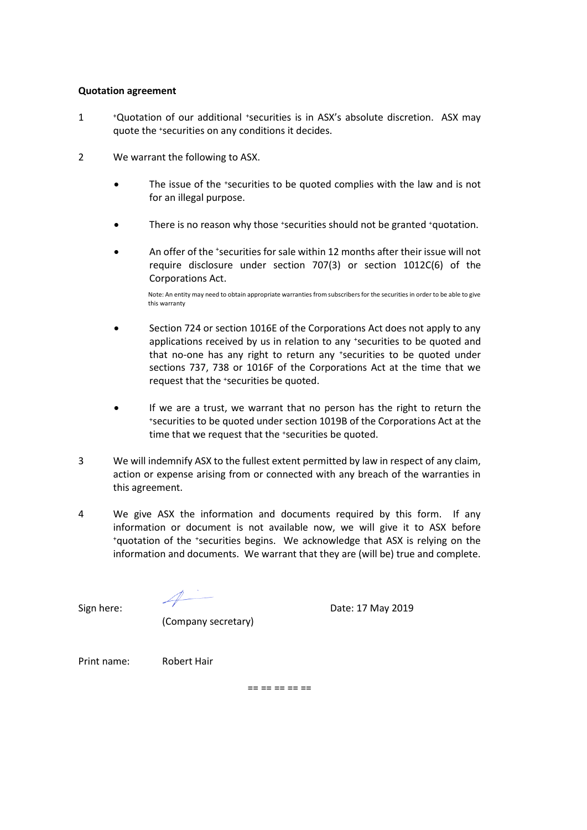#### **Quotation agreement**

- 1 <sup>+</sup>Quotation of our additional +securities is in ASX's absolute discretion. ASX may quote the +securities on any conditions it decides.
- 2 We warrant the following to ASX.
	- The issue of the +securities to be quoted complies with the law and is not for an illegal purpose.
	- There is no reason why those \*securities should not be granted \*quotation.
	- An offer of the 'securities for sale within 12 months after their issue will not require disclosure under section 707(3) or section 1012C(6) of the Corporations Act.

Note: An entity may need to obtain appropriate warranties from subscribers for the securities in order to be able to give this warranty

- Section 724 or section 1016E of the Corporations Act does not apply to any applications received by us in relation to any +securities to be quoted and that no-one has any right to return any \*securities to be quoted under sections 737, 738 or 1016F of the Corporations Act at the time that we request that the +securities be quoted.
- If we are a trust, we warrant that no person has the right to return the <sup>+</sup>securities to be quoted under section 1019B of the Corporations Act at the time that we request that the \*securities be quoted.
- 3 We will indemnify ASX to the fullest extent permitted by law in respect of any claim, action or expense arising from or connected with any breach of the warranties in this agreement.
- 4 We give ASX the information and documents required by this form. If any information or document is not available now, we will give it to ASX before <sup>+</sup>quotation of the +securities begins. We acknowledge that ASX is relying on the information and documents. We warrant that they are (will be) true and complete.

Sign here: Sign here: Sign here: Sign here: Sign here: Sign here: Sign here: Sign here: Sign here: Sign here: Sign here: Sign here: Sign here: Sign here: Sign here: Sign here: Sign here: Sign here: Sign here: Sign here: Si

(Company secretary)

Print name: Robert Hair

== == == == ==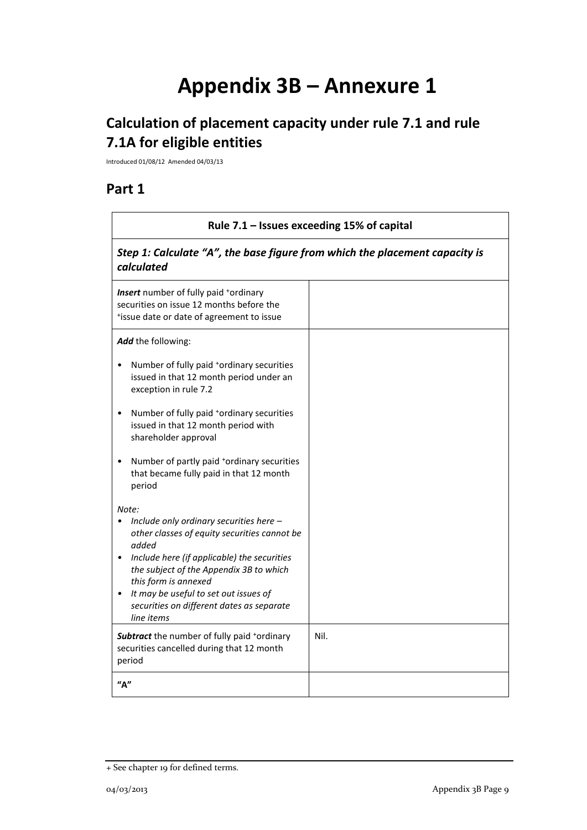# **Appendix 3B – Annexure 1**

# **Calculation of placement capacity under rule 7.1 and rule 7.1A for eligible entities**

Introduced 01/08/12 Amended 04/03/13

## **Part 1**

| Rule 7.1 - Issues exceeding 15% of capital                                                                                                                                                                                                                                                                                      |      |  |
|---------------------------------------------------------------------------------------------------------------------------------------------------------------------------------------------------------------------------------------------------------------------------------------------------------------------------------|------|--|
| Step 1: Calculate "A", the base figure from which the placement capacity is<br>calculated                                                                                                                                                                                                                                       |      |  |
| Insert number of fully paid *ordinary<br>securities on issue 12 months before the<br>*issue date or date of agreement to issue                                                                                                                                                                                                  |      |  |
| Add the following:                                                                                                                                                                                                                                                                                                              |      |  |
| Number of fully paid *ordinary securities<br>issued in that 12 month period under an<br>exception in rule 7.2                                                                                                                                                                                                                   |      |  |
| Number of fully paid *ordinary securities<br>$\bullet$<br>issued in that 12 month period with<br>shareholder approval                                                                                                                                                                                                           |      |  |
| Number of partly paid *ordinary securities<br>that became fully paid in that 12 month<br>period                                                                                                                                                                                                                                 |      |  |
| Note:<br>Include only ordinary securities here -<br>other classes of equity securities cannot be<br>added<br>Include here (if applicable) the securities<br>the subject of the Appendix 3B to which<br>this form is annexed<br>It may be useful to set out issues of<br>securities on different dates as separate<br>line items |      |  |
| <b>Subtract</b> the number of fully paid *ordinary<br>securities cancelled during that 12 month<br>period                                                                                                                                                                                                                       | Nil. |  |
| "д"                                                                                                                                                                                                                                                                                                                             |      |  |

<sup>+</sup> See chapter 19 for defined terms.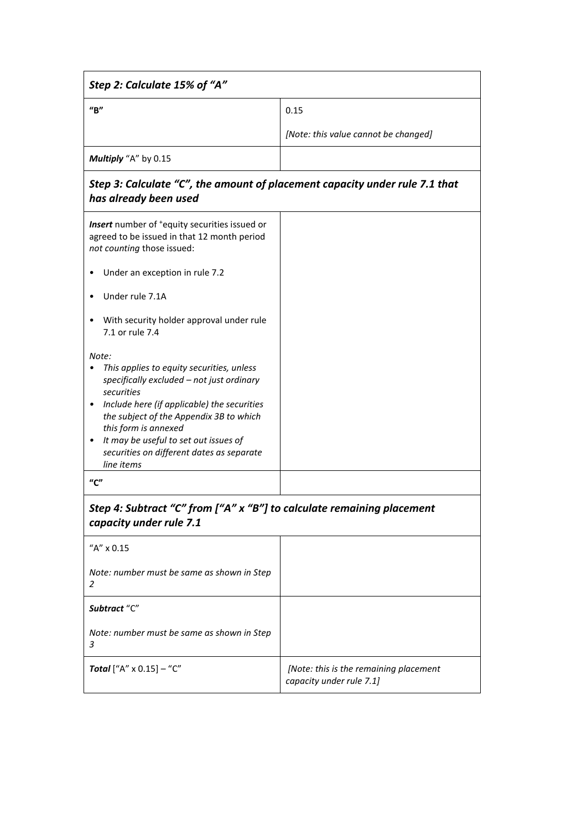| Step 2: Calculate 15% of "A"                                                                                                                                                                                                                                                                                                        |                                                                    |
|-------------------------------------------------------------------------------------------------------------------------------------------------------------------------------------------------------------------------------------------------------------------------------------------------------------------------------------|--------------------------------------------------------------------|
| $^{\prime\prime}$ B"                                                                                                                                                                                                                                                                                                                | 0.15                                                               |
|                                                                                                                                                                                                                                                                                                                                     | [Note: this value cannot be changed]                               |
| Multiply "A" by 0.15                                                                                                                                                                                                                                                                                                                |                                                                    |
| Step 3: Calculate "C", the amount of placement capacity under rule 7.1 that<br>has already been used                                                                                                                                                                                                                                |                                                                    |
| Insert number of <sup>+</sup> equity securities issued or<br>agreed to be issued in that 12 month period<br>not counting those issued:                                                                                                                                                                                              |                                                                    |
| Under an exception in rule 7.2                                                                                                                                                                                                                                                                                                      |                                                                    |
| Under rule 7.1A                                                                                                                                                                                                                                                                                                                     |                                                                    |
| With security holder approval under rule<br>7.1 or rule 7.4                                                                                                                                                                                                                                                                         |                                                                    |
| Note:<br>This applies to equity securities, unless<br>specifically excluded - not just ordinary<br>securities<br>Include here (if applicable) the securities<br>the subject of the Appendix 3B to which<br>this form is annexed<br>It may be useful to set out issues of<br>securities on different dates as separate<br>line items |                                                                    |
| $^{\prime\prime}$ C"                                                                                                                                                                                                                                                                                                                |                                                                    |
| Step 4: Subtract "C" from ["A" x "B"] to calculate remaining placement<br>capacity under rule 7.1                                                                                                                                                                                                                                   |                                                                    |
| "A" x 0.15                                                                                                                                                                                                                                                                                                                          |                                                                    |
| Note: number must be same as shown in Step<br>2                                                                                                                                                                                                                                                                                     |                                                                    |
| Subtract "C"                                                                                                                                                                                                                                                                                                                        |                                                                    |
| Note: number must be same as shown in Step<br>3                                                                                                                                                                                                                                                                                     |                                                                    |
| <b>Total</b> ["A" $\times$ 0.15] - "C"                                                                                                                                                                                                                                                                                              | [Note: this is the remaining placement<br>capacity under rule 7.1] |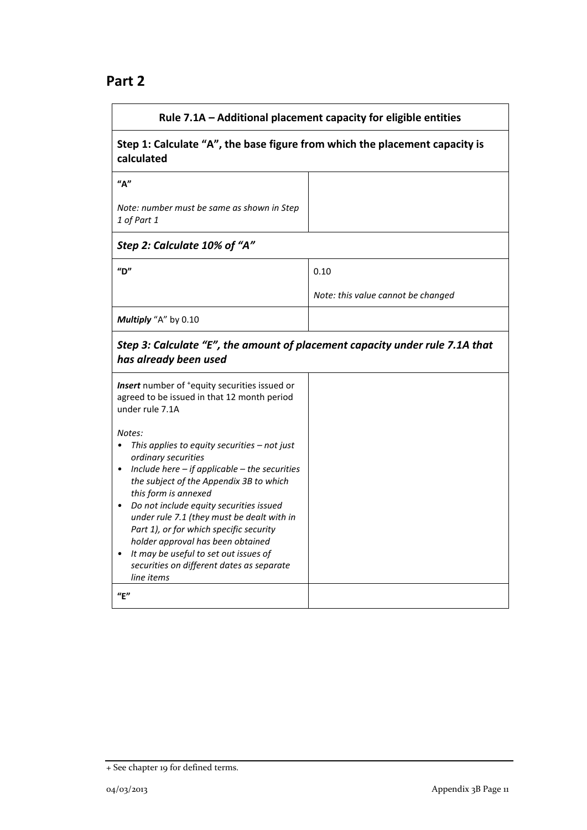### **Part 2**

| Rule 7.1A - Additional placement capacity for eligible entities                                                                                                                                                                                                                                                                                                                                                                                                                                                                      |                                    |  |
|--------------------------------------------------------------------------------------------------------------------------------------------------------------------------------------------------------------------------------------------------------------------------------------------------------------------------------------------------------------------------------------------------------------------------------------------------------------------------------------------------------------------------------------|------------------------------------|--|
| Step 1: Calculate "A", the base figure from which the placement capacity is<br>calculated                                                                                                                                                                                                                                                                                                                                                                                                                                            |                                    |  |
| ''A''                                                                                                                                                                                                                                                                                                                                                                                                                                                                                                                                |                                    |  |
| Note: number must be same as shown in Step<br>1 of Part 1                                                                                                                                                                                                                                                                                                                                                                                                                                                                            |                                    |  |
| Step 2: Calculate 10% of "A"                                                                                                                                                                                                                                                                                                                                                                                                                                                                                                         |                                    |  |
| $^{\prime\prime}$ D"                                                                                                                                                                                                                                                                                                                                                                                                                                                                                                                 | 0.10                               |  |
|                                                                                                                                                                                                                                                                                                                                                                                                                                                                                                                                      | Note: this value cannot be changed |  |
| Multiply "A" by 0.10                                                                                                                                                                                                                                                                                                                                                                                                                                                                                                                 |                                    |  |
| Step 3: Calculate "E", the amount of placement capacity under rule 7.1A that<br>has already been used                                                                                                                                                                                                                                                                                                                                                                                                                                |                                    |  |
| Insert number of <sup>+</sup> equity securities issued or<br>agreed to be issued in that 12 month period<br>under rule 7.1A                                                                                                                                                                                                                                                                                                                                                                                                          |                                    |  |
| Notes:<br>This applies to equity securities - not just<br>$\bullet$<br>ordinary securities<br>Include here $-$ if applicable $-$ the securities<br>$\bullet$<br>the subject of the Appendix 3B to which<br>this form is annexed<br>Do not include equity securities issued<br>under rule 7.1 (they must be dealt with in<br>Part 1), or for which specific security<br>holder approval has been obtained<br>It may be useful to set out issues of<br>securities on different dates as separate<br>line items<br>$^{\prime\prime}$ E" |                                    |  |

<sup>+</sup> See chapter 19 for defined terms.